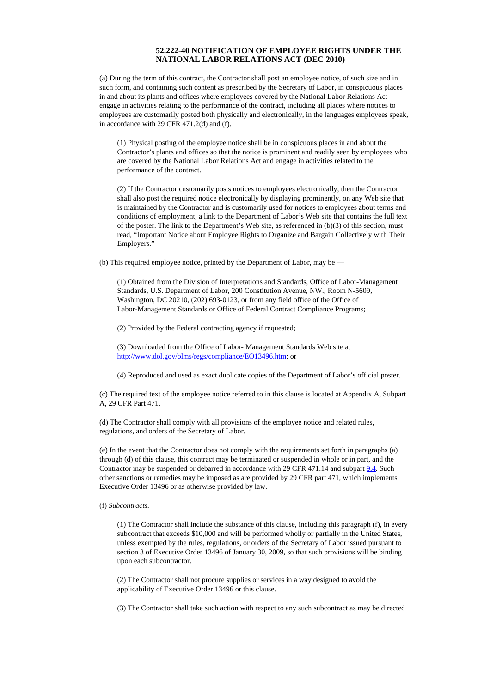## **52.222-40 NOTIFICATION OF EMPLOYEE RIGHTS UNDER THE NATIONAL LABOR RELATIONS ACT (DEC 2010)**

(a) During the term of this contract, the Contractor shall post an employee notice, of such size and in such form, and containing such content as prescribed by the Secretary of Labor, in conspicuous places in and about its plants and offices where employees covered by the National Labor Relations Act engage in activities relating to the performance of the contract, including all places where notices to employees are customarily posted both physically and electronically, in the languages employees speak, in accordance with 29 CFR 471.2(d) and (f).

(1) Physical posting of the employee notice shall be in conspicuous places in and about the Contractor's plants and offices so that the notice is prominent and readily seen by employees who are covered by the National Labor Relations Act and engage in activities related to the performance of the contract.

(2) If the Contractor customarily posts notices to employees electronically, then the Contractor shall also post the required notice electronically by displaying prominently, on any Web site that is maintained by the Contractor and is customarily used for notices to employees about terms and conditions of employment, a link to the Department of Labor's Web site that contains the full text of the poster. The link to the Department's Web site, as referenced in (b)(3) of this section, must read, "Important Notice about Employee Rights to Organize and Bargain Collectively with Their Employers."

(b) This required employee notice, printed by the Department of Labor, may be —

(1) Obtained from the Division of Interpretations and Standards, Office of Labor-Management Standards, U.S. Department of Labor, 200 Constitution Avenue, NW., Room N-5609, Washington, DC 20210, (202) 693-0123, or from any field office of the Office of Labor-Management Standards or Office of Federal Contract Compliance Programs;

(2) Provided by the Federal contracting agency if requested;

(3) Downloaded from the Office of Labor- Management Standards Web site at [http://www.dol.gov/olms/regs/compliance/EO13496.htm;](http://www.dol.gov/olms/regs/compliance/EO13496.htm) or

(4) Reproduced and used as exact duplicate copies of the Department of Labor's official poster.

(c) The required text of the employee notice referred to in this clause is located at Appendix A, Subpart A, 29 CFR Part 471.

(d) The Contractor shall comply with all provisions of the employee notice and related rules, regulations, and orders of the Secretary of Labor.

(e) In the event that the Contractor does not comply with the requirements set forth in paragraphs (a) through (d) of this clause, this contract may be terminated or suspended in whole or in part, and the Contractor may be suspended or debarred in accordance with 29 CFR 471.14 and subpart [9.4](https://www.acquisition.gov/far/current/html/Subpart%209_4.html#wp1083280). Such other sanctions or remedies may be imposed as are provided by 29 CFR part 471, which implements Executive Order 13496 or as otherwise provided by law.

(f) *Subcontracts*.

(1) The Contractor shall include the substance of this clause, including this paragraph (f), in every subcontract that exceeds \$10,000 and will be performed wholly or partially in the United States, unless exempted by the rules, regulations, or orders of the Secretary of Labor issued pursuant to section 3 of Executive Order 13496 of January 30, 2009, so that such provisions will be binding upon each subcontractor.

(2) The Contractor shall not procure supplies or services in a way designed to avoid the applicability of Executive Order 13496 or this clause.

(3) The Contractor shall take such action with respect to any such subcontract as may be directed